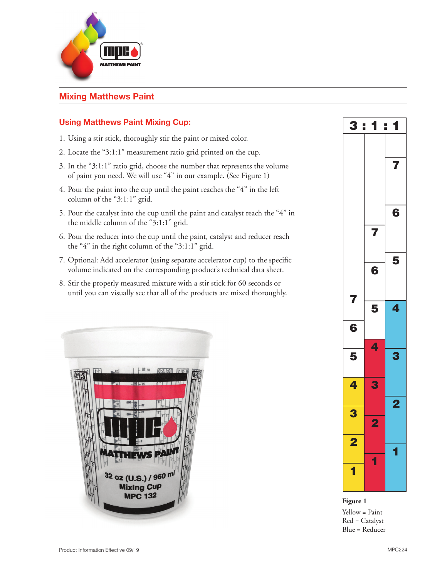

# **Mixing Matthews Paint**

## **Using Matthews Paint Mixing Cup:**

- 1. Using a stir stick, thoroughly stir the paint or mixed color.
- 2. Locate the "3:1:1" measurement ratio grid printed on the cup.
- 3. In the "3:1:1" ratio grid, choose the number that represents the volume of paint you need. We will use "4" in our example. (See Figure 1)
- 4. Pour the paint into the cup until the paint reaches the "4" in the left column of the "3:1:1" grid.
- 5. Pour the catalyst into the cup until the paint and catalyst reach the "4" in the middle column of the "3:1:1" grid.
- 6. Pour the reducer into the cup until the paint, catalyst and reducer reach the "4" in the right column of the "3:1:1" grid.
- 7. Optional: Add accelerator (using separate accelerator cup) to the specific volume indicated on the corresponding product's technical data sheet.
- 8. Stir the properly measured mixture with a stir stick for 60 seconds or until you can visually see that all of the products are mixed thoroughly.





**Figure 1** Yellow = Paint Red = Catalyst Blue = Reducer